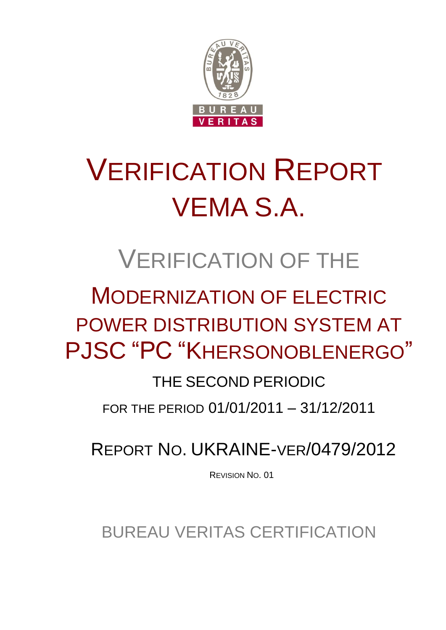

# VERIFICATION REPORT VEMA S.A.

## VERIFICATION OF THE

## MODERNIZATION OF ELECTRIC POWER DISTRIBUTION SYSTEM AT PJSC "PC "KHERSONOBLENERGO"

## THE SECOND PERIODIC

FOR THE PERIOD 01/01/2011 – 31/12/2011

REPORT NO. UKRAINE-VER/0479/2012

REVISION NO. 01

BUREAU VERITAS CERTIFICATION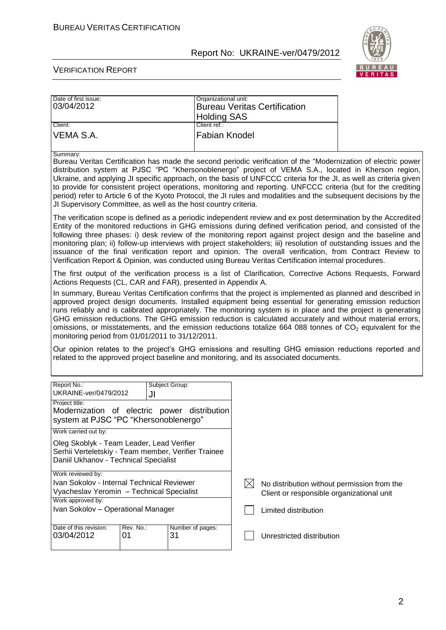

#### VERIFICATION REPORT

| Date of first issue:<br>03/04/2012 | Organizational unit:<br><b>Bureau Veritas Certification</b> |
|------------------------------------|-------------------------------------------------------------|
|                                    | <b>Holding SAS</b>                                          |
| Client:                            | Client ref.:                                                |
| IVEMA S.A.                         | <b>Fabian Knodel</b>                                        |

#### Summary:

Bureau Veritas Certification has made the second periodic verification of the "Modernization of electric power distribution system at PJSC "PC "Khersonoblenergo" project of VEMA S.A., located in Kherson region, Ukraine, and applying JI specific approach, on the basis of UNFCCC criteria for the JI, as well as criteria given to provide for consistent project operations, monitoring and reporting. UNFCCC criteria (but for the crediting period) refer to Article 6 of the Kyoto Protocol, the JI rules and modalities and the subsequent decisions by the JI Supervisory Committee, as well as the host country criteria.

The verification scope is defined as a periodic independent review and ex post determination by the Accredited Entity of the monitored reductions in GHG emissions during defined verification period, and consisted of the following three phases: i) desk review of the monitoring report against project design and the baseline and monitoring plan; ii) follow-up interviews with project stakeholders; iii) resolution of outstanding issues and the issuance of the final verification report and opinion. The overall verification, from Contract Review to Verification Report & Opinion, was conducted using Bureau Veritas Certification internal procedures.

The first output of the verification process is a list of Clarification, Corrective Actions Requests, Forward Actions Requests (CL, CAR and FAR), presented in Appendix A.

In summary, Bureau Veritas Certification confirms that the project is implemented as planned and described in approved project design documents. Installed equipment being essential for generating emission reduction runs reliably and is calibrated appropriately. The monitoring system is in place and the project is generating GHG emission reductions. The GHG emission reduction is calculated accurately and without material errors, omissions, or misstatements, and the emission reductions totalize  $664\,088$  tonnes of  $CO<sub>2</sub>$  equivalent for the monitoring period from 01/01/2011 to 31/12/2011.

Our opinion relates to the project's GHG emissions and resulting GHG emission reductions reported and related to the approved project baseline and monitoring, and its associated documents.

| Report No.:<br>UKRAINE-ver/0479/2012                                                                                                      | Subject Group:<br>JI |  |                                             |
|-------------------------------------------------------------------------------------------------------------------------------------------|----------------------|--|---------------------------------------------|
| Project title:<br>Modernization of electric power distribution<br>system at PJSC "PC "Khersonoblenergo"                                   |                      |  |                                             |
| Work carried out by:                                                                                                                      |                      |  |                                             |
| Oleg Skoblyk - Team Leader, Lead Verifier<br>Serhii Verteletskiy - Team member, Verifier Trainee<br>Daniil Ukhanov - Technical Specialist |                      |  |                                             |
| Work reviewed by:                                                                                                                         |                      |  |                                             |
| Ivan Sokolov - Internal Technical Reviewer                                                                                                |                      |  | No distribution without permission from the |
| Vyacheslav Yeromin - Technical Specialist                                                                                                 |                      |  | Client or responsible organizational unit   |
| Work approved by:                                                                                                                         |                      |  |                                             |
| Ivan Sokolov - Operational Manager                                                                                                        |                      |  | Limited distribution                        |
| Rev. No.:<br>Date of this revision:                                                                                                       | Number of pages:     |  |                                             |
| 03/04/2012<br>31<br>01                                                                                                                    |                      |  | Unrestricted distribution                   |
|                                                                                                                                           |                      |  |                                             |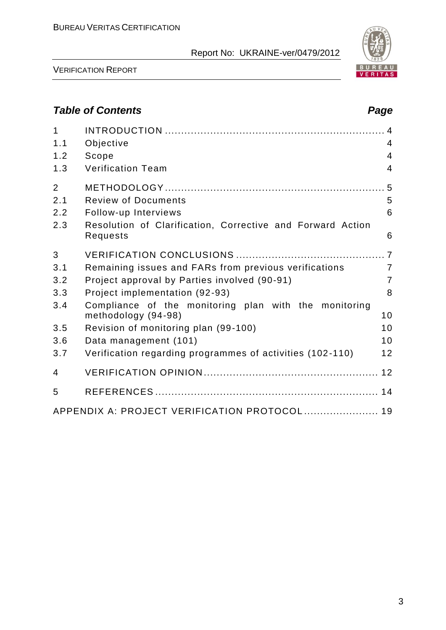

VERIFICATION REPORT

## *Table of Contents Page*

| $\mathbf 1$<br>1.1 | Objective                                                                    | $\overline{4}$ |
|--------------------|------------------------------------------------------------------------------|----------------|
| 1.2                | Scope                                                                        | $\overline{4}$ |
| 1.3                | <b>Verification Team</b>                                                     | $\overline{4}$ |
| $\overline{2}$     |                                                                              |                |
| 2.1                | <b>Review of Documents</b>                                                   | 5              |
| 2.2                | Follow-up Interviews                                                         | 6              |
| 2.3                | Resolution of Clarification, Corrective and Forward Action<br>Requests       | 6              |
| 3                  |                                                                              |                |
| 3.1                | Remaining issues and FARs from previous verifications                        | $\overline{7}$ |
| 3.2                | Project approval by Parties involved (90-91)                                 | $\overline{7}$ |
| 3.3                | Project implementation (92-93)                                               | 8              |
| 3.4                | Compliance of the monitoring plan with the monitoring<br>methodology (94-98) | 10             |
| 3.5                | Revision of monitoring plan (99-100)                                         | 10             |
| 3.6                | Data management (101)                                                        | 10             |
| 3.7                | Verification regarding programmes of activities (102-110)                    | 12             |
| $\overline{4}$     |                                                                              |                |
| 5                  |                                                                              |                |
|                    | APPENDIX A: PROJECT VERIFICATION PROTOCOL 19                                 |                |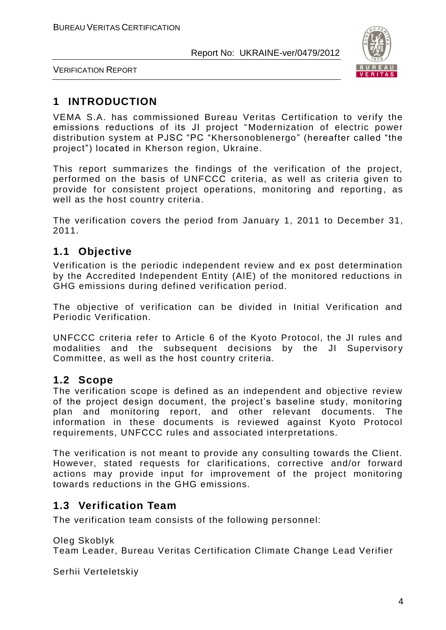

VERIFICATION REPORT

## **1 INTRODUCTION**

VEMA S.A. has commissioned Bureau Veritas Certification to verify the emissions reductions of its JI project "Modernization of electric power distribution system at PJSC "PC "Khersonoblenergo" (hereafter called "the project") located in Kherson region, Ukraine.

This report summarizes the findings of the verification of the project, performed on the basis of UNFCCC criteria, as well as criteria given to provide for consistent project operations, monitoring and reporting, as well as the host country criteria.

The verification covers the period from January 1, 2011 to December 31, 2011.

## **1.1 Objective**

Verification is the periodic independent review and ex post determination by the Accredited Independent Entity (AIE) of the monitored reductions in GHG emissions during defined verification period.

The objective of verification can be divided in Initial Verification and Periodic Verification.

UNFCCC criteria refer to Article 6 of the Kyoto Protocol, the JI rules and modalities and the subsequent decisions by the JI Supervisory Committee, as well as the host country criteria.

## **1.2 Scope**

The verification scope is defined as an independent and objective review of the project design document, the project's baseline study, monitoring plan and monitoring report, and other relevant documents. The information in these documents is reviewed against Kyoto Protocol requirements, UNFCCC rules and associated interpretations.

The verification is not meant to provide any consulting towards the Client. However, stated requests for clarifications, corrective and/or forward actions may provide input for improvement of the project monitoring towards reductions in the GHG emissions.

## **1.3 Verification Team**

The verification team consists of the following personnel:

Oleg Skoblyk

Team Leader, Bureau Veritas Certification Climate Change Lead Verifier

Serhii Verteletskiy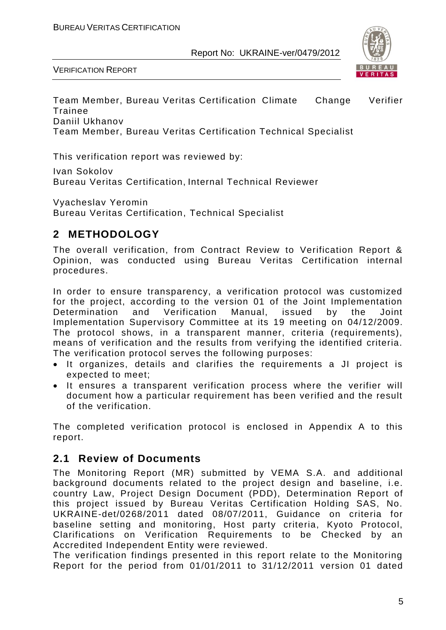

VERIFICATION REPORT

Team Member, Bureau Veritas Certification Climate Change Verifier Trainee Daniil Ukhanov Team Member, Bureau Veritas Certification Technical Specialist

This verification report was reviewed by:

Ivan Sokolov Bureau Veritas Certification, Internal Technical Reviewer

Vyacheslav Yeromin Bureau Veritas Certification, Technical Specialist

## **2 METHODOLOGY**

The overall verification, from Contract Review to Verification Report & Opinion, was conducted using Bureau Veritas Certification internal procedures.

In order to ensure transparency, a verification protocol was customized for the project, according to the version 01 of the Joint Implementation Determination and Verification Manual, issued by the Joint Implementation Supervisory Committee at its 19 meeting on 04/12/2009. The protocol shows, in a transparent manner, criteria (requirements), means of verification and the results from verifying the identified criteria. The verification protocol serves the following purposes:

- It organizes, details and clarifies the requirements a JI project is expected to meet;
- It ensures a transparent verification process where the verifier will document how a particular requirement has been verified and the result of the verification.

The completed verification protocol is enclosed in Appendix A to this report.

## **2.1 Review of Documents**

The Monitoring Report (MR) submitted by VEMA S.A. and additional background documents related to the project design and baseline, i.e. country Law, Project Design Document (PDD), Determination Report of this project issued by Bureau Veritas Certification Holding SAS, No. UKRAINE-det/0268/2011 dated 08/07/2011, Guidance on criteria for baseline setting and monitoring, Host party criteria, Kyoto Protocol, Clarifications on Verification Requirements to be Checked by an Accredited Independent Entity were reviewed.

The verification findings presented in this report relate to the Monitoring Report for the period from 01/01/2011 to 31/12/2011 version 01 dated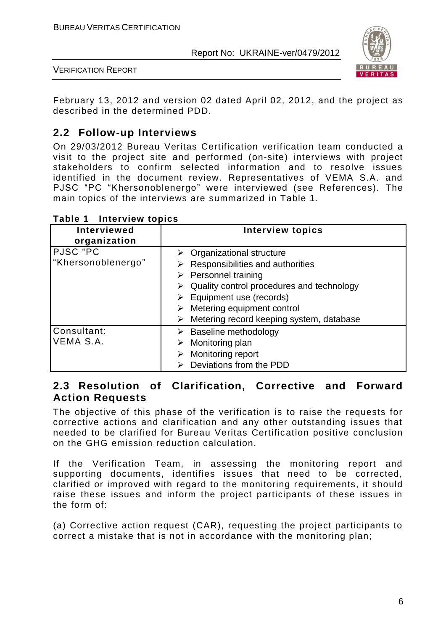

VERIFICATION REPORT

February 13, 2012 and version 02 dated April 02, 2012, and the project as described in the determined PDD.

## **2.2 Follow-up Interviews**

On 29/03/2012 Bureau Veritas Certification verification team conducted a visit to the project site and performed (on-site) interviews with project stakeholders to confirm selected information and to resolve issues identified in the document review. Representatives of VEMA S.A. and PJSC "PC "Khersonoblenergo" were interviewed (see References). The main topics of the interviews are summarized in Table 1.

| <b>Interviewed</b><br>organization | <b>Interview topics</b>                                                                                                                                                                                                                                                                                                   |
|------------------------------------|---------------------------------------------------------------------------------------------------------------------------------------------------------------------------------------------------------------------------------------------------------------------------------------------------------------------------|
| PJSC "PC<br>"Khersonoblenergo"     | $\triangleright$ Organizational structure<br>Responsibilities and authorities<br>$\triangleright$ Personnel training<br>Quality control procedures and technology<br>$\triangleright$ Equipment use (records)<br>$\triangleright$ Metering equipment control<br>$\triangleright$ Metering record keeping system, database |
| Consultant:<br>VEMA S.A.           | $\triangleright$ Baseline methodology<br>Monitoring plan<br>➤<br>Monitoring report<br>Deviations from the PDD                                                                                                                                                                                                             |

#### **Table 1 Interview topics**

## **2.3 Resolution of Clarification, Corrective and Forward Action Requests**

The objective of this phase of the verification is to raise the requests for corrective actions and clarification and any other outstanding issues that needed to be clarified for Bureau Veritas Certification positive conclusion on the GHG emission reduction calculation.

If the Verification Team, in assessing the monitoring report and supporting documents, identifies issues that need to be corrected, clarified or improved with regard to the monitoring requirements, it should raise these issues and inform the project participants of these issues in the form of:

(a) Corrective action request (CAR), requesting the project participants to correct a mistake that is not in accordance with the monitoring plan;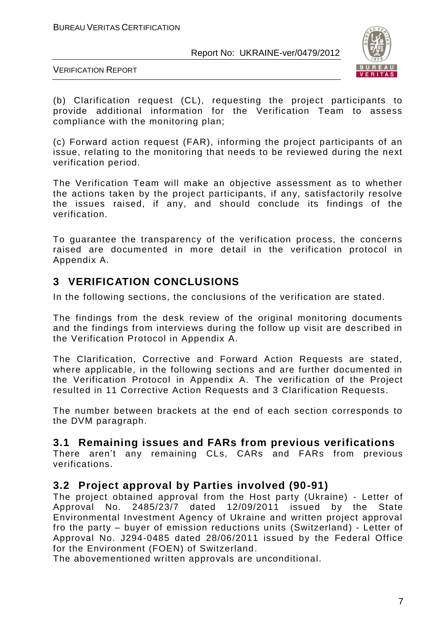

VERIFICATION REPORT

(b) Clarification request (CL), requesting the project participants to provide additional information for the Verification Team to assess compliance with the monitoring plan;

(c) Forward action request (FAR), informing the project participants of an issue, relating to the monitoring that needs to be reviewed during the next verification period.

The Verification Team will make an objective assessment as to whether the actions taken by the project participants, if any, satisfactorily resolve the issues raised, if any, and should conclude its findings of the verification.

To guarantee the transparency of the verification process, the concerns raised are documented in more detail in the verification protocol in Appendix A.

## **3 VERIFICATION CONCLUSIONS**

In the following sections, the conclusions of the verification are stated.

The findings from the desk review of the original monitoring documents and the findings from interviews during the follow up visit are described in the Verification Protocol in Appendix A.

The Clarification, Corrective and Forward Action Requests are stated, where applicable, in the following sections and are further documented in the Verification Protocol in Appendix A. The verification of the Project resulted in 11 Corrective Action Requests and 3 Clarification Requests.

The number between brackets at the end of each section corresponds to the DVM paragraph.

## **3.1 Remaining issues and FARs from previous verifications**

There aren't any remaining CLs, CARs and FARs from previous verifications.

## **3.2 Project approval by Parties involved (90-91)**

The project obtained approval from the Host party (Ukraine) - Letter of Approval No. 2485/23/7 dated 12/09/2011 issued by the State Environmental Investment Agency of Ukraine and written project approval fro the party – buyer of emission reductions units (Switzerland) - Letter of Approval No. J294-0485 dated 28/06/2011 issued by the Federal Office for the Environment (FOEN) of Switzerland.

The abovementioned written approvals are unconditional.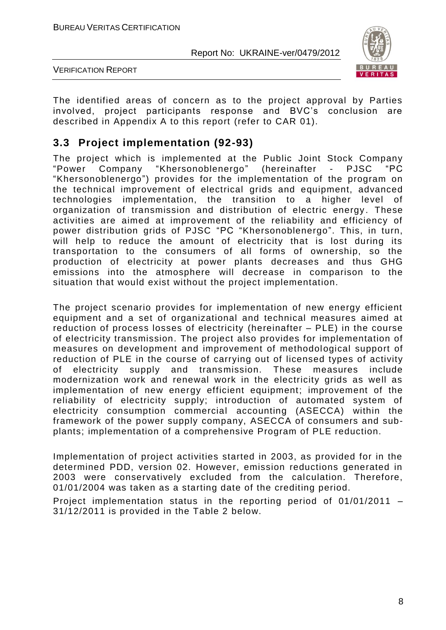

VERIFICATION REPORT

The identified areas of concern as to the project approval by Parties involved, project participants response and BVC's conclusion are described in Appendix A to this report (refer to CAR 01).

## **3.3 Project implementation (92-93)**

The project which is implemented at the Public Joint Stock Company "Power Company "Khersonoblenergo" (hereinafter - PJSC "PC "Khersonoblenergo") provides for the implementation of the program on the technical improvement of electrical grids and equipment, advanced technologies implementation, the transition to a higher level of organization of transmission and distribution of electric energy. These activities are aimed at improvement of the reliability and efficiency of power distribution grids of PJSC "PC "Khersonoblenergo". This, in turn, will help to reduce the amount of electricity that is lost during its transportation to the consumers of all forms of ownership, so the production of electricity at power plants decreases and thus GHG emissions into the atmosphere will decrease in comparison to the situation that would exist without the project implementation.

The project scenario provides for implementation of new energy efficient equipment and a set of organizational and technical measures aimed at reduction of process losses of electricity (hereinafter – PLE) in the course of electricity transmission. The project also provides for implementation of measures on development and improvement of methodological support of reduction of PLE in the course of carrying out of licensed types of activity of electricity supply and transmission. These measures include modernization work and renewal work in the electricity grids as well as implementation of new energy efficient equipment; improvement of the reliability of electricity supply; introduction of automated system of electricity consumption commercial accounting (ASECCA) within the framework of the power supply company, ASECCA of consumers and subplants; implementation of a comprehensive Program of PLE reduction.

Implementation of project activities started in 2003, as provided for in the determined PDD, version 02. However, emission reductions generated in 2003 were conservatively excluded from the calculation. Therefore, 01/01/2004 was taken as a starting date of the crediting period.

Project implementation status in the reporting period of 01/01/2011 – 31/12/2011 is provided in the Table 2 below.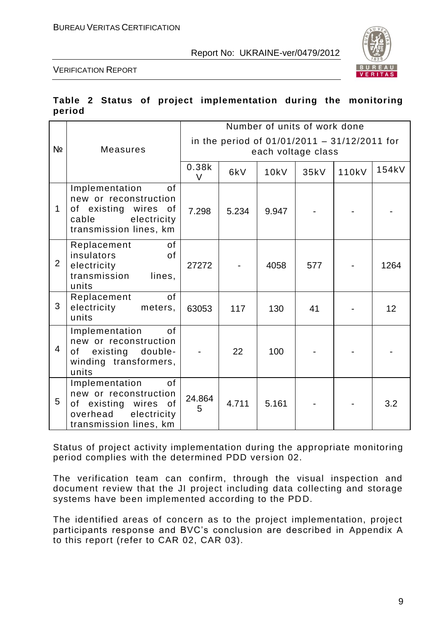

VERIFICATION REPORT

|        |  |  | Table 2 Status of project implementation during the monitoring |  |  |
|--------|--|--|----------------------------------------------------------------|--|--|
| period |  |  |                                                                |  |  |

|                |                                                                                                                               |                 |                                                                      | Number of units of work done |      |       |                 |  |
|----------------|-------------------------------------------------------------------------------------------------------------------------------|-----------------|----------------------------------------------------------------------|------------------------------|------|-------|-----------------|--|
| Nº             | <b>Measures</b>                                                                                                               |                 | in the period of $01/01/2011 - 31/12/2011$ for<br>each voltage class |                              |      |       |                 |  |
|                |                                                                                                                               | 0.38k<br>$\vee$ | 6kV                                                                  | <b>10kV</b>                  | 35kV | 110kV | 154kV           |  |
| $\mathbf 1$    | Implementation<br>0f<br>new or reconstruction<br>of existing wires<br>of<br>electricity<br>cable<br>transmission lines, km    | 7.298           | 5.234                                                                | 9.947                        |      |       |                 |  |
| $\overline{2}$ | 0f<br>Replacement<br>insulators<br>of<br>electricity<br>transmission<br>lines,<br>units                                       | 27272           |                                                                      | 4058                         | 577  |       | 1264            |  |
| 3              | of<br>Replacement<br>electricity<br>meters,<br>units                                                                          | 63053           | 117                                                                  | 130                          | 41   |       | 12 <sup>2</sup> |  |
| $\overline{4}$ | of<br>Implementation<br>new or reconstruction<br>of existing double-<br>winding transformers,<br>units                        |                 | 22                                                                   | 100                          |      |       |                 |  |
| 5              | Implementation<br>0f<br>new or reconstruction<br>of existing wires<br>0f<br>overhead<br>electricity<br>transmission lines, km | 24.864<br>5     | 4.711                                                                | 5.161                        |      |       | 3.2             |  |

Status of project activity implementation during the appropriate monitoring period complies with the determined PDD version 02.

The verification team can confirm, through the visual inspection and document review that the JI project including data collecting and storage systems have been implemented according to the PDD.

The identified areas of concern as to the project implementation, project participants response and BVC's conclusion are described in Appendix A to this report (refer to CAR 02, CAR 03).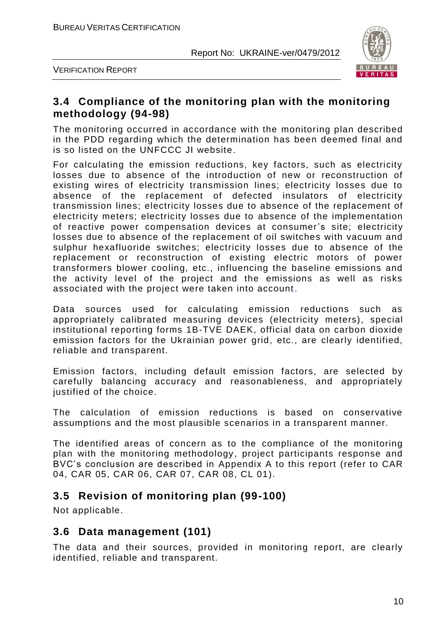



## **3.4 Compliance of the monitoring plan with the monitoring methodology (94-98)**

The monitoring occurred in accordance with the monitoring plan described in the PDD regarding which the determination has been deemed final and is so listed on the UNFCCC JI website.

For calculating the emission reductions, key factors, such as electricity losses due to absence of the introduction of new or reconstruction of existing wires of electricity transmission lines; electricity losses due to absence of the replacement of defected insulators of electricity transmission lines; electricity losses due to absence of the replacement of electricity meters; electricity losses due to absence of the implementation of reactive power compensation devices at consumer's site; electricity losses due to absence of the replacement of oil switches with vacuum and sulphur hexafluoride switches; electricity losses due to absence of the replacement or reconstruction of existing electric motors of power transformers blower cooling, etc., influencing the baseline emissions and the activity level of the project and the emissions as well as risks associated with the project were taken into account .

Data sources used for calculating emission reductions such as appropriately calibrated measuring devices (electricity meters), special institutional reporting forms 1B-TVE DAEK, official data on carbon dioxide emission factors for the Ukrainian power grid, etc., are clearly identified, reliable and transparent.

Emission factors, including default emission factors, are selected by carefully balancing accuracy and reasonableness, and appropriately justified of the choice.

The calculation of emission reductions is based on conservative assumptions and the most plausible scenarios in a transparent manner.

The identified areas of concern as to the compliance of the monitoring plan with the monitoring methodology, project participants response and BVC's conclusion are described in Appendix A to this report (refer to CAR 04, CAR 05, CAR 06, CAR 07, CAR 08, CL 01).

## **3.5 Revision of monitoring plan (99-100)**

Not applicable.

## **3.6 Data management (101)**

The data and their sources, provided in monitoring report, are clearly identified, reliable and transparent.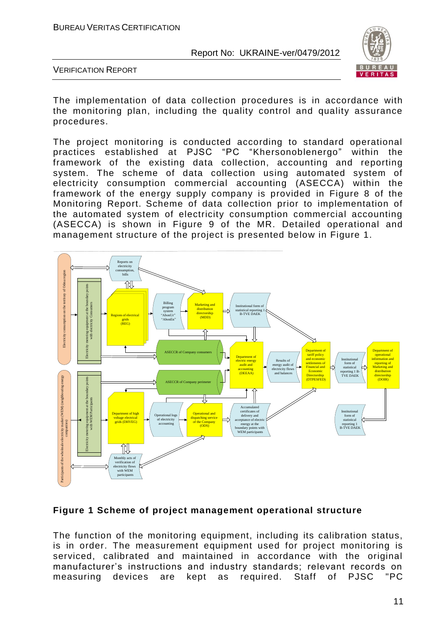

VERIFICATION REPORT

The implementation of data collection procedures is in accordance with the monitoring plan, including the quality control and quality assurance procedures.

The project monitoring is conducted according to standard operational practices established at PJSC "PC "Khersonoblenergo" within the practices established at PJSC "PC "Khersonoblenergo" framework of the existing data collection, accounting and reporting system. The scheme of data collection using automated system of electricity consumption commercial accounting (ASECCA) within the framework of the energy supply company is provided in Figure 8 of the Monitoring Report. Scheme of data collection prior to implementation of the automated system of electricity consumption commercial accounting (ASECCA) is shown in Figure 9 of the MR. Detailed operational and management structure of the project is presented below in Figure 1.



#### **Figure 1 Scheme of project management operational structure**

The function of the monitoring equipment, including its calibration status, is in order. The measurement equipment used for project monitoring is serviced, calibrated and maintained in accordance with the original manufacturer's instructions and industry standards; relevant records on measuring devices are kept as required. Staff of PJSC "PC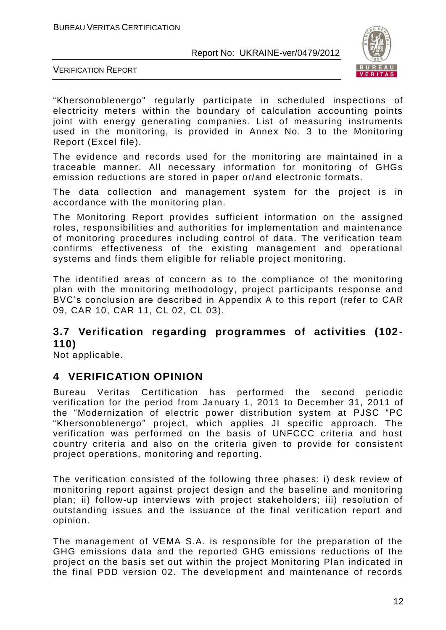

VERIFICATION REPORT

"Khersonoblenergo" regularly participate in scheduled inspections of electricity meters within the boundary of calculation accounting points joint with energy generating companies. List of measuring instruments used in the monitoring, is provided in Annex No. 3 to the Monitoring Report (Excel file).

The evidence and records used for the monitoring are maintained in a traceable manner. All necessary information for monitoring of GHGs emission reductions are stored in paper or/and electronic formats.

The data collection and management system for the project is in accordance with the monitoring plan.

The Monitoring Report provides sufficient information on the assigned roles, responsibilities and authorities for implementation and maintenance of monitoring procedures including control of data. The verification team confirms effectiveness of the existing management and operational systems and finds them eligible for reliable project monitoring.

The identified areas of concern as to the compliance of the monitoring plan with the monitoring methodology, project participants response and BVC's conclusion are described in Appendix A to this report (refer to CAR 09, CAR 10, CAR 11, CL 02, CL 03).

## **3.7 Verification regarding programmes of activities (102- 110)**

Not applicable.

## **4 VERIFICATION OPINION**

Bureau Veritas Certification has performed the second periodic verification for the period from January 1, 2011 to December 31, 2011 of the "Modernization of electric power distribution system at PJSC "PC "Khersonoblenergo" project, which applies JI specific approach. The verification was performed on the basis of UNFCCC criteria and host country criteria and also on the criteria given to provide for consistent project operations, monitoring and reporting.

The verification consisted of the following three phases: i) desk review of monitoring report against project design and the baseline and monitoring plan; ii) follow-up interviews with project stakeholders; iii) resolution of outstanding issues and the issuance of the final verification report and opinion.

The management of VEMA S.A. is responsible for the preparation of the GHG emissions data and the reported GHG emissions reductions of the project on the basis set out within the project Monitoring Plan indicated in the final PDD version 02. The development and maintenance of records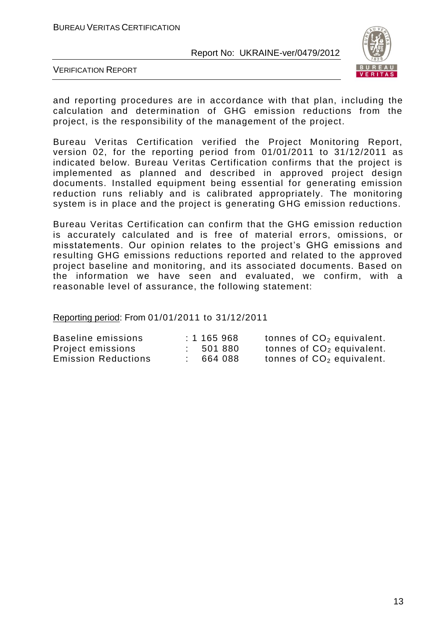

VERIFICATION REPORT

and reporting procedures are in accordance with that plan, including the calculation and determination of GHG emission reductions from the project, is the responsibility of the management of the project.

Bureau Veritas Certification verified the Project Monitoring Report, version 02, for the reporting period from 01/01/2011 to 31/12/2011 as indicated below. Bureau Veritas Certification confirms that the project is implemented as planned and described in approved project design documents. Installed equipment being essential for generating emission reduction runs reliably and is calibrated appropriately. The monitoring system is in place and the project is generating GHG emission reductions.

Bureau Veritas Certification can confirm that the GHG emission reduction is accurately calculated and is free of material errors, omissions, or misstatements. Our opinion relates to the project's GHG emissions and resulting GHG emissions reductions reported and related to the approved project baseline and monitoring, and its associated documents. Based on the information we have seen and evaluated, we confirm, with a reasonable level of assurance, the following statement:

Reporting period: From 01/01/2011 to 31/12/2011

| Baseline emissions         | : 1165968 | tonnes of $CO2$ equivalent. |
|----------------------------|-----------|-----------------------------|
| Project emissions          | : 501 880 | tonnes of $CO2$ equivalent. |
| <b>Emission Reductions</b> | 664 088   | tonnes of $CO2$ equivalent. |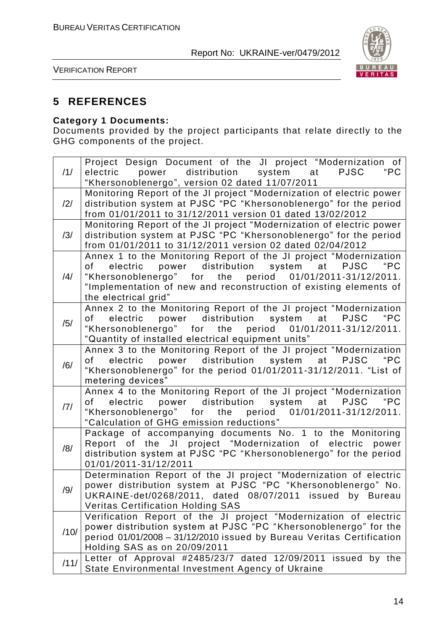

VERIFICATION REPORT

## **5 REFERENCES**

## **Category 1 Documents:**

Documents provided by the project participants that relate directly to the GHG components of the project.

| /1/  | Project Design Document of the JI project "Modernization of<br>electric power distribution system at PJSC<br>"PC                                                                                                                                                                      |
|------|---------------------------------------------------------------------------------------------------------------------------------------------------------------------------------------------------------------------------------------------------------------------------------------|
|      | "Khersonoblenergo", version 02 dated 11/07/2011                                                                                                                                                                                                                                       |
| /2/  | Monitoring Report of the JI project "Modernization of electric power<br>distribution system at PJSC "PC "Khersonoblenergo" for the period<br>from 01/01/2011 to 31/12/2011 version 01 dated 13/02/2012                                                                                |
| /3/  | Monitoring Report of the JI project "Modernization of electric power<br>distribution system at PJSC "PC "Khersonoblenergo" for the period<br>from 01/01/2011 to 31/12/2011 version 02 dated 02/04/2012                                                                                |
| /4/  | Annex 1 to the Monitoring Report of the JI project "Modernization<br>electric power distribution system at PJSC<br>"PC<br>of<br>"Khersonoblenergo" for the period 01/01/2011-31/12/2011.<br>"Implementation of new and reconstruction of existing elements of<br>the electrical grid" |
| /5/  | Annex 2 to the Monitoring Report of the JI project "Modernization<br>"PC<br>electric power distribution system at<br><b>PJSC</b><br>of<br>"Khersonoblenergo" for the period 01/01/2011-31/12/2011.<br>"Quantity of installed electrical equipment units"                              |
| /6/  | Annex 3 to the Monitoring Report of the JI project "Modernization<br>electric power distribution system at PJSC "PC<br>of<br>"Khersonoblenergo" for the period 01/01/2011-31/12/2011. "List of<br>metering devices"                                                                   |
| 7    | Annex 4 to the Monitoring Report of the JI project "Modernization<br>electric power distribution system at PJSC<br>"PC<br>of<br>"Khersonoblenergo" for the period 01/01/2011-31/12/2011.<br>"Calculation of GHG emission reductions"                                                  |
| /8/  | Package of accompanying documents No. 1 to the Monitoring<br>Report of the JI project "Modernization of electric<br>power<br>distribution system at PJSC "PC "Khersonoblenergo" for the period<br>01/01/2011-31/12/2011                                                               |
| /9/  | Determination Report of the JI project "Modernization of electric<br>power distribution system at PJSC "PC "Khersonoblenergo" No.<br>UKRAINE-det/0268/2011, dated 08/07/2011 issued by Bureau<br><b>Veritas Certification Holding SAS</b>                                             |
| /10/ | Verification Report of the JI project "Modernization of electric<br>power distribution system at PJSC "PC "Khersonoblenergo" for the<br>period 01/01/2008 - 31/12/2010 issued by Bureau Veritas Certification<br>Holding SAS as on 20/09/2011                                         |
| /11/ | Letter of Approval #2485/23/7 dated 12/09/2011 issued by the<br>State Environmental Investment Agency of Ukraine                                                                                                                                                                      |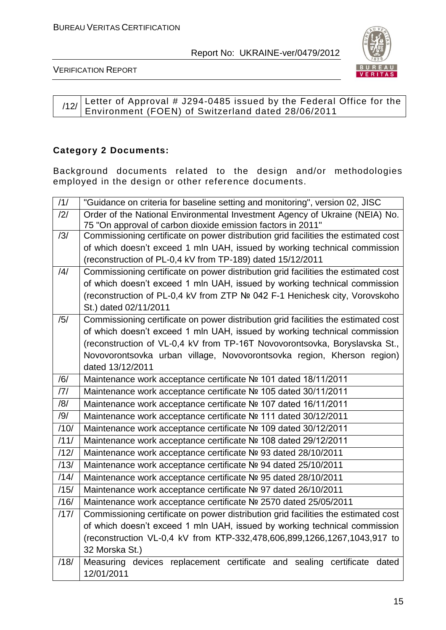

VERIFICATION REPORT

#### $/12/$  Letter of Approval # J294-0485 issued by the Federal Office for the Environment (FOEN) of Switzerland dated 28/06/2011

#### **Category 2 Documents:**

Background documents related to the design and/or methodologies employed in the design or other reference documents.

| /1/            | "Guidance on criteria for baseline setting and monitoring", version 02, JISC                                                               |
|----------------|--------------------------------------------------------------------------------------------------------------------------------------------|
| /2/            | Order of the National Environmental Investment Agency of Ukraine (NEIA) No.<br>75 "On approval of carbon dioxide emission factors in 2011" |
| /3/            | Commissioning certificate on power distribution grid facilities the estimated cost                                                         |
|                | of which doesn't exceed 1 mln UAH, issued by working technical commission                                                                  |
|                | (reconstruction of PL-0,4 kV from TP-189) dated 15/12/2011                                                                                 |
| $\frac{14}{1}$ | Commissioning certificate on power distribution grid facilities the estimated cost                                                         |
|                | of which doesn't exceed 1 mln UAH, issued by working technical commission                                                                  |
|                | (reconstruction of PL-0,4 kV from ZTP Nº 042 F-1 Henichesk city, Vorovskoho                                                                |
|                | St.) dated 02/11/2011                                                                                                                      |
| /5/            | Commissioning certificate on power distribution grid facilities the estimated cost                                                         |
|                | of which doesn't exceed 1 mln UAH, issued by working technical commission                                                                  |
|                | (reconstruction of VL-0,4 kV from TP-16T Novovorontsovka, Boryslavska St.,                                                                 |
|                | Novovorontsovka urban village, Novovorontsovka region, Kherson region)                                                                     |
|                | dated 13/12/2011                                                                                                                           |
| /6/            | Maintenance work acceptance certificate № 101 dated 18/11/2011                                                                             |
| 7              | Maintenance work acceptance certificate № 105 dated 30/11/2011                                                                             |
| /8/            | Maintenance work acceptance certificate № 107 dated 16/11/2011                                                                             |
| /9/            | Maintenance work acceptance certificate № 111 dated 30/12/2011                                                                             |
| /10/           | Maintenance work acceptance certificate № 109 dated 30/12/2011                                                                             |
| /11/           | Maintenance work acceptance certificate № 108 dated 29/12/2011                                                                             |
| /12/           | Maintenance work acceptance certificate № 93 dated 28/10/2011                                                                              |
| /13/           | Maintenance work acceptance certificate № 94 dated 25/10/2011                                                                              |
| /14/           | Maintenance work acceptance certificate № 95 dated 28/10/2011                                                                              |
| /15/           | Maintenance work acceptance certificate № 97 dated 26/10/2011                                                                              |
| /16/           | Maintenance work acceptance certificate № 2570 dated 25/05/2011                                                                            |
| /17/           | Commissioning certificate on power distribution grid facilities the estimated cost                                                         |
|                | of which doesn't exceed 1 mln UAH, issued by working technical commission                                                                  |
|                | (reconstruction VL-0,4 kV from KTP-332,478,606,899,1266,1267,1043,917 to                                                                   |
|                | 32 Morska St.)                                                                                                                             |
| /18/           | Measuring devices replacement certificate and sealing certificate dated                                                                    |
|                | 12/01/2011                                                                                                                                 |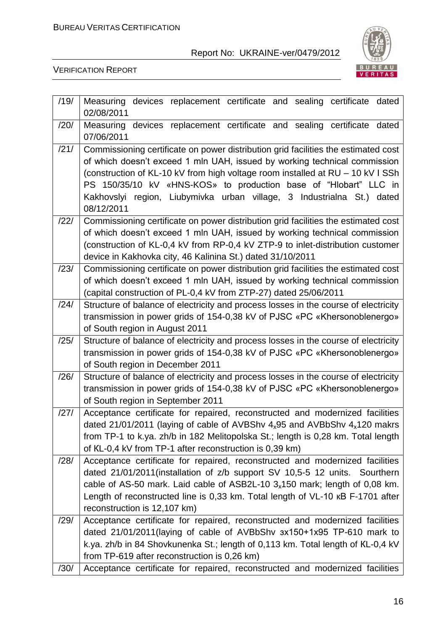

| /19/ | Measuring devices replacement certificate and sealing certificate dated<br>02/08/2011                                                                                                                                                                                                                                                                                                                         |
|------|---------------------------------------------------------------------------------------------------------------------------------------------------------------------------------------------------------------------------------------------------------------------------------------------------------------------------------------------------------------------------------------------------------------|
| /20/ | Measuring devices replacement certificate and sealing certificate dated<br>07/06/2011                                                                                                                                                                                                                                                                                                                         |
| /21/ | Commissioning certificate on power distribution grid facilities the estimated cost<br>of which doesn't exceed 1 mln UAH, issued by working technical commission<br>(construction of KL-10 kV from high voltage room installed at RU - 10 kV I SSh<br>PS 150/35/10 kV «HNS-KOS» to production base of "Hlobart" LLC in<br>Kakhovslyi region, Liubymivka urban village, 3 Industrialna St.) dated<br>08/12/2011 |
| /22/ | Commissioning certificate on power distribution grid facilities the estimated cost<br>of which doesn't exceed 1 mln UAH, issued by working technical commission<br>(construction of KL-0,4 kV from RP-0,4 kV ZTP-9 to inlet-distribution customer<br>device in Kakhovka city, 46 Kalinina St.) dated 31/10/2011                                                                                               |
| /23/ | Commissioning certificate on power distribution grid facilities the estimated cost<br>of which doesn't exceed 1 mln UAH, issued by working technical commission<br>(capital construction of PL-0,4 kV from ZTP-27) dated 25/06/2011                                                                                                                                                                           |
| /24/ | Structure of balance of electricity and process losses in the course of electricity<br>transmission in power grids of 154-0,38 kV of PJSC «PC «Khersonoblenergo»<br>of South region in August 2011                                                                                                                                                                                                            |
| /25/ | Structure of balance of electricity and process losses in the course of electricity<br>transmission in power grids of 154-0,38 kV of PJSC «PC «Khersonoblenergo»<br>of South region in December 2011                                                                                                                                                                                                          |
| /26/ | Structure of balance of electricity and process losses in the course of electricity<br>transmission in power grids of 154-0,38 kV of PJSC «PC «Khersonoblenergo»<br>of South region in September 2011                                                                                                                                                                                                         |
| /27/ | Acceptance certificate for repaired, reconstructed and modernized facilities<br>dated 21/01/2011 (laying of cable of AVBShv $4_x95$ and AVBbShv $4_x120$ makrs<br>from TP-1 to k.ya. zh/b in 182 Melitopolska St.; length is 0,28 km. Total length<br>of KL-0,4 kV from TP-1 after reconstruction is 0,39 km)                                                                                                 |
| /28/ | Acceptance certificate for repaired, reconstructed and modernized facilities<br>dated 21/01/2011(installation of z/b support SV 10,5-5 12 units. Sourthern<br>cable of AS-50 mark. Laid cable of ASB2L-10 $3_x150$ mark; length of 0,08 km.<br>Length of reconstructed line is 0,33 km. Total length of VL-10 KB F-1701 after<br>reconstruction is 12,107 km)                                                 |
| /29/ | Acceptance certificate for repaired, reconstructed and modernized facilities<br>dated 21/01/2011(laying of cable of AVBbShv 3x150+1x95 TP-610 mark to<br>k.ya. zh/b in 84 Shovkunenka St.; length of 0,113 km. Total length of KL-0,4 kV<br>from TP-619 after reconstruction is 0,26 km)                                                                                                                      |
| /30/ | Acceptance certificate for repaired, reconstructed and modernized facilities                                                                                                                                                                                                                                                                                                                                  |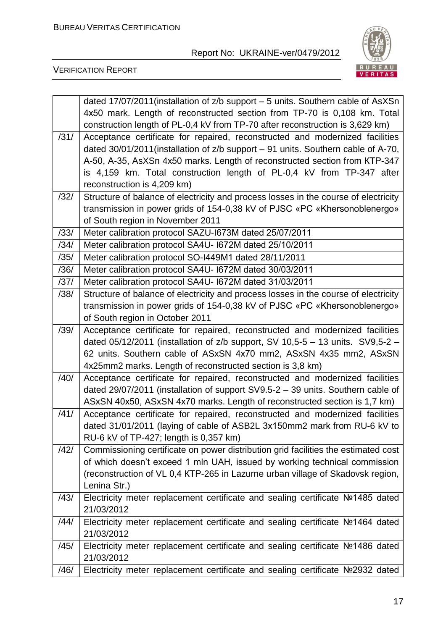

|      | dated 17/07/2011 (installation of z/b support - 5 units. Southern cable of AsXSn<br>4x50 mark. Length of reconstructed section from TP-70 is 0,108 km. Total<br>construction length of PL-0,4 kV from TP-70 after reconstruction is 3,629 km) |
|------|-----------------------------------------------------------------------------------------------------------------------------------------------------------------------------------------------------------------------------------------------|
| /31/ | Acceptance certificate for repaired, reconstructed and modernized facilities<br>dated 30/01/2011 (installation of z/b support - 91 units. Southern cable of A-70,                                                                             |
|      | A-50, A-35, AsXSn 4x50 marks. Length of reconstructed section from KTP-347<br>is 4,159 km. Total construction length of PL-0,4 kV from TP-347 after<br>reconstruction is 4,209 km)                                                            |
| /32/ | Structure of balance of electricity and process losses in the course of electricity                                                                                                                                                           |
|      | transmission in power grids of 154-0,38 kV of PJSC «PC «Khersonoblenergo»                                                                                                                                                                     |
|      | of South region in November 2011                                                                                                                                                                                                              |
| /33/ | Meter calibration protocol SAZU-I673M dated 25/07/2011                                                                                                                                                                                        |
| /34/ | Meter calibration protocol SA4U- I672M dated 25/10/2011                                                                                                                                                                                       |
| /35/ | Meter calibration protocol SO-I449M1 dated 28/11/2011                                                                                                                                                                                         |
| /36/ | Meter calibration protocol SA4U- I672M dated 30/03/2011                                                                                                                                                                                       |
| /37/ | Meter calibration protocol SA4U- I672M dated 31/03/2011                                                                                                                                                                                       |
| /38/ | Structure of balance of electricity and process losses in the course of electricity                                                                                                                                                           |
|      | transmission in power grids of 154-0,38 kV of PJSC «PC «Khersonoblenergo»                                                                                                                                                                     |
|      | of South region in October 2011                                                                                                                                                                                                               |
| /39/ | Acceptance certificate for repaired, reconstructed and modernized facilities                                                                                                                                                                  |
|      | dated 05/12/2011 (installation of $z/b$ support, SV 10,5-5 - 13 units. SV9,5-2 -                                                                                                                                                              |
|      | 62 units. Southern cable of ASxSN 4x70 mm2, ASxSN 4x35 mm2, ASxSN                                                                                                                                                                             |
|      | 4x25mm2 marks. Length of reconstructed section is 3,8 km)                                                                                                                                                                                     |
| /40/ | Acceptance certificate for repaired, reconstructed and modernized facilities                                                                                                                                                                  |
|      | dated 29/07/2011 (installation of support SV9.5-2 - 39 units. Southern cable of                                                                                                                                                               |
| /41/ | ASxSN 40x50, ASxSN 4x70 marks. Length of reconstructed section is 1,7 km)<br>Acceptance certificate for repaired, reconstructed and modernized facilities                                                                                     |
|      | dated 31/01/2011 (laying of cable of ASB2L 3x150mm2 mark from RU-6 kV to                                                                                                                                                                      |
|      | RU-6 kV of TP-427; length is 0,357 km)                                                                                                                                                                                                        |
| /42/ | Commissioning certificate on power distribution grid facilities the estimated cost                                                                                                                                                            |
|      | of which doesn't exceed 1 mln UAH, issued by working technical commission                                                                                                                                                                     |
|      | (reconstruction of VL 0,4 KTP-265 in Lazurne urban village of Skadovsk region,                                                                                                                                                                |
|      | Lenina Str.)                                                                                                                                                                                                                                  |
| /43/ | Electricity meter replacement certificate and sealing certificate Nº1485 dated                                                                                                                                                                |
|      | 21/03/2012                                                                                                                                                                                                                                    |
| /44/ | Electricity meter replacement certificate and sealing certificate Nº1464 dated                                                                                                                                                                |
|      | 21/03/2012                                                                                                                                                                                                                                    |
| /45/ | Electricity meter replacement certificate and sealing certificate Nº1486 dated                                                                                                                                                                |
|      | 21/03/2012                                                                                                                                                                                                                                    |
| /46/ | Electricity meter replacement certificate and sealing certificate Nº2932 dated                                                                                                                                                                |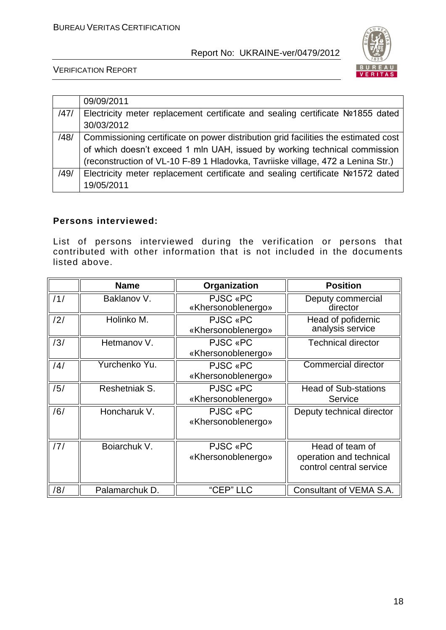

VERIFICATION REPORT

|      | 09/09/2011                                                                         |
|------|------------------------------------------------------------------------------------|
| /47/ | Electricity meter replacement certificate and sealing certificate №1855 dated      |
|      | 30/03/2012                                                                         |
| /48/ | Commissioning certificate on power distribution grid facilities the estimated cost |
|      | of which doesn't exceed 1 mln UAH, issued by working technical commission          |
|      | (reconstruction of VL-10 F-89 1 Hladovka, Tavriiske village, 472 a Lenina Str.)    |
| /49/ | Electricity meter replacement certificate and sealing certificate Nº1572 dated     |
|      | 19/05/2011                                                                         |

#### **Persons interviewed:**

List of persons interviewed during the verification or persons that contributed with other information that is not included in the documents listed above.

|     | <b>Name</b>    | Organization                   | <b>Position</b>                                                       |
|-----|----------------|--------------------------------|-----------------------------------------------------------------------|
| /1/ | Baklanov V.    | PJSC «PC<br>«Khersonoblenergo» | Deputy commercial<br>director                                         |
| /2/ | Holinko M.     | PJSC «PC<br>«Khersonoblenergo» | Head of pofidernic<br>analysis service                                |
| /3/ | Hetmanov V.    | PJSC «PC<br>«Khersonoblenergo» | <b>Technical director</b>                                             |
| /4/ | Yurchenko Yu.  | PJSC «PC<br>«Khersonoblenergo» | <b>Commercial director</b>                                            |
| /5/ | Reshetniak S.  | PJSC «PC<br>«Khersonoblenergo» | <b>Head of Sub-stations</b><br>Service                                |
| /6/ | Honcharuk V.   | PJSC «PC<br>«Khersonoblenergo» | Deputy technical director                                             |
| /7/ | Boiarchuk V.   | PJSC «PC<br>«Khersonoblenergo» | Head of team of<br>operation and technical<br>control central service |
| /8/ | Palamarchuk D. | "CEP" LLC                      | Consultant of VEMA S.A.                                               |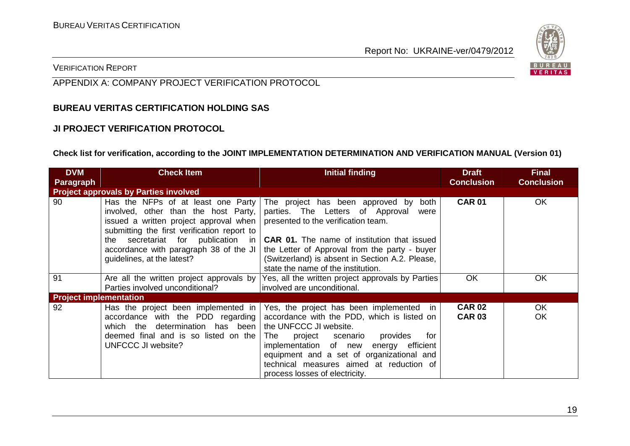

VERIFICATION REPORT

## APPENDIX A: COMPANY PROJECT VERIFICATION PROTOCOL

#### **BUREAU VERITAS CERTIFICATION HOLDING SAS**

#### **JI PROJECT VERIFICATION PROTOCOL**

#### **Check list for verification, according to the JOINT IMPLEMENTATION DETERMINATION AND VERIFICATION MANUAL (Version 01)**

| <b>DVM</b>                    | <b>Check Item</b>                                                                                                                                                                                                                                                                                                                | <b>Initial finding</b>                                                                                                                                                                                                                                                                                                                          | <b>Draft</b>                   | <b>Final</b>      |
|-------------------------------|----------------------------------------------------------------------------------------------------------------------------------------------------------------------------------------------------------------------------------------------------------------------------------------------------------------------------------|-------------------------------------------------------------------------------------------------------------------------------------------------------------------------------------------------------------------------------------------------------------------------------------------------------------------------------------------------|--------------------------------|-------------------|
| <b>Paragraph</b>              |                                                                                                                                                                                                                                                                                                                                  |                                                                                                                                                                                                                                                                                                                                                 | <b>Conclusion</b>              | <b>Conclusion</b> |
|                               | <b>Project approvals by Parties involved</b>                                                                                                                                                                                                                                                                                     |                                                                                                                                                                                                                                                                                                                                                 |                                |                   |
| 90                            | Has the NFPs of at least one Party<br>involved, other than the host Party,<br>issued a written project approval when $\vert$ presented to the verification team.<br>submitting the first verification report to<br>secretariat for publication in<br>the<br>accordance with paragraph 38 of the JI<br>guidelines, at the latest? | The project has been approved by<br>both<br>parties. The Letters of Approval<br>were<br><b>CAR 01.</b> The name of institution that issued<br>the Letter of Approval from the party - buyer<br>(Switzerland) is absent in Section A.2. Please,<br>state the name of the institution.                                                            | <b>CAR 01</b>                  | <b>OK</b>         |
| 91                            | Are all the written project approvals by<br>Parties involved unconditional?                                                                                                                                                                                                                                                      | Yes, all the written project approvals by Parties<br>involved are unconditional.                                                                                                                                                                                                                                                                | OK                             | OK                |
| <b>Project implementation</b> |                                                                                                                                                                                                                                                                                                                                  |                                                                                                                                                                                                                                                                                                                                                 |                                |                   |
| 92                            | Has the project been implemented in<br>accordance with the PDD regarding<br>which the determination has been<br>deemed final and is so listed on the<br><b>UNFCCC JI website?</b>                                                                                                                                                | Yes, the project has been implemented<br>- IN<br>accordance with the PDD, which is listed on<br>the UNFCCC JI website.<br>project<br>scenario<br>provides<br>for<br>⊤he<br>energy efficient<br>implementation of new<br>equipment and a set of organizational and<br>technical measures aimed at reduction of<br>process losses of electricity. | <b>CAR 02</b><br><b>CAR 03</b> | <b>OK</b><br>OK   |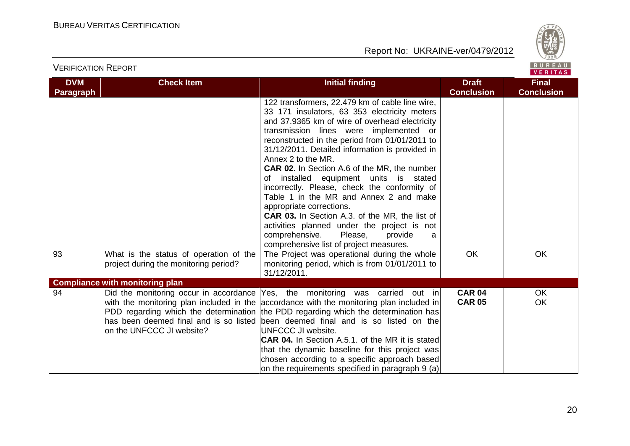

| <b>DVM</b>       | <b>Check Item</b>                                                               | <b>Initial finding</b>                                                                                                                                                                                                                                                                                                                                                                                                                                                                                                                                                                                                                                                                                                                 | <b>Draft</b>                   | <b>Final</b>           |
|------------------|---------------------------------------------------------------------------------|----------------------------------------------------------------------------------------------------------------------------------------------------------------------------------------------------------------------------------------------------------------------------------------------------------------------------------------------------------------------------------------------------------------------------------------------------------------------------------------------------------------------------------------------------------------------------------------------------------------------------------------------------------------------------------------------------------------------------------------|--------------------------------|------------------------|
| <b>Paragraph</b> |                                                                                 |                                                                                                                                                                                                                                                                                                                                                                                                                                                                                                                                                                                                                                                                                                                                        | <b>Conclusion</b>              | <b>Conclusion</b>      |
|                  |                                                                                 | 122 transformers, 22.479 km of cable line wire,<br>33 171 insulators, 63 353 electricity meters<br>and 37.9365 km of wire of overhead electricity<br>transmission lines were implemented or<br>reconstructed in the period from 01/01/2011 to<br>31/12/2011. Detailed information is provided in<br>Annex 2 to the MR.<br>CAR 02. In Section A.6 of the MR, the number<br>of installed equipment units is stated<br>incorrectly. Please, check the conformity of<br>Table 1 in the MR and Annex 2 and make<br>appropriate corrections.<br><b>CAR 03.</b> In Section A.3. of the MR, the list of<br>activities planned under the project is not<br>comprehensive.<br>Please,<br>provide<br>a<br>comprehensive list of project measures. |                                |                        |
| 93               | What is the status of operation of the<br>project during the monitoring period? | The Project was operational during the whole<br>monitoring period, which is from 01/01/2011 to<br>31/12/2011.                                                                                                                                                                                                                                                                                                                                                                                                                                                                                                                                                                                                                          | <b>OK</b>                      | <b>OK</b>              |
|                  | <b>Compliance with monitoring plan</b>                                          |                                                                                                                                                                                                                                                                                                                                                                                                                                                                                                                                                                                                                                                                                                                                        |                                |                        |
| 94               | on the UNFCCC JI website?                                                       | Did the monitoring occur in accordance Yes, the monitoring was carried out in<br>with the monitoring plan included in the accordance with the monitoring plan included in<br>PDD regarding which the determination the PDD regarding which the determination has<br>has been deemed final and is so listed been deemed final and is so listed on the<br>UNFCCC JI website.<br><b>CAR 04.</b> In Section A.5.1. of the MR it is stated<br>that the dynamic baseline for this project was<br>chosen according to a specific approach based<br>on the requirements specified in paragraph 9 (a)                                                                                                                                           | <b>CAR 04</b><br><b>CAR 05</b> | <b>OK</b><br><b>OK</b> |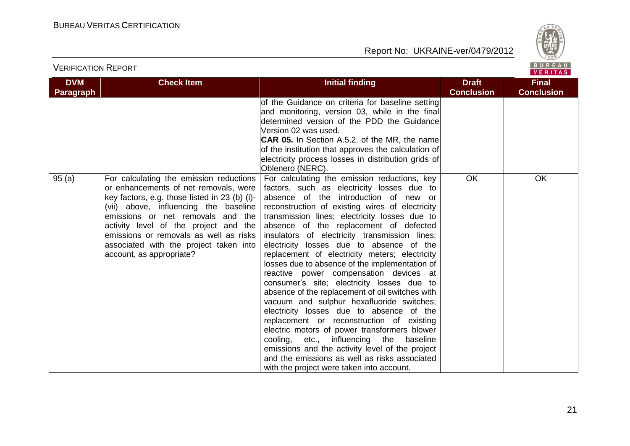

| <b>DVM</b>       | <b>Check Item</b>                                                                                                                                                                                                                                                                                                                                                        | <b>Initial finding</b>                                                                                                                                                                                                                                                                                                                                                                                                                                                                                                                                                                                                                                                                                                                                                                                                                                                                                                                                                                                             | <b>Draft</b>      | <b>Final</b>      |
|------------------|--------------------------------------------------------------------------------------------------------------------------------------------------------------------------------------------------------------------------------------------------------------------------------------------------------------------------------------------------------------------------|--------------------------------------------------------------------------------------------------------------------------------------------------------------------------------------------------------------------------------------------------------------------------------------------------------------------------------------------------------------------------------------------------------------------------------------------------------------------------------------------------------------------------------------------------------------------------------------------------------------------------------------------------------------------------------------------------------------------------------------------------------------------------------------------------------------------------------------------------------------------------------------------------------------------------------------------------------------------------------------------------------------------|-------------------|-------------------|
| <b>Paragraph</b> |                                                                                                                                                                                                                                                                                                                                                                          |                                                                                                                                                                                                                                                                                                                                                                                                                                                                                                                                                                                                                                                                                                                                                                                                                                                                                                                                                                                                                    | <b>Conclusion</b> | <b>Conclusion</b> |
|                  |                                                                                                                                                                                                                                                                                                                                                                          | of the Guidance on criteria for baseline setting<br>and monitoring, version 03, while in the final<br>determined version of the PDD the Guidance<br>Version 02 was used.<br><b>CAR 05.</b> In Section A.5.2. of the MR, the name<br>of the institution that approves the calculation of<br>electricity process losses in distribution grids of<br>Oblenero (NERC).                                                                                                                                                                                                                                                                                                                                                                                                                                                                                                                                                                                                                                                 |                   |                   |
| 95(a)            | For calculating the emission reductions<br>or enhancements of net removals, were<br>key factors, e.g. those listed in 23 (b) (i)-<br>(vii) above, influencing the baseline<br>emissions or net removals and the<br>activity level of the project and the<br>emissions or removals as well as risks<br>associated with the project taken into<br>account, as appropriate? | For calculating the emission reductions, key<br>factors, such as electricity losses due to<br>absence of the introduction of new or<br>reconstruction of existing wires of electricity<br>transmission lines; electricity losses due to<br>absence of the replacement of defected<br>insulators of electricity transmission lines;<br>electricity losses due to absence of the<br>replacement of electricity meters; electricity<br>losses due to absence of the implementation of<br>reactive power compensation devices at<br>consumer's site; electricity losses due to<br>absence of the replacement of oil switches with<br>vacuum and sulphur hexafluoride switches;<br>electricity losses due to absence of the<br>replacement or reconstruction of existing<br>electric motors of power transformers blower<br>cooling, etc., influencing the<br>baseline<br>emissions and the activity level of the project<br>and the emissions as well as risks associated<br>with the project were taken into account. | <b>OK</b>         | OK                |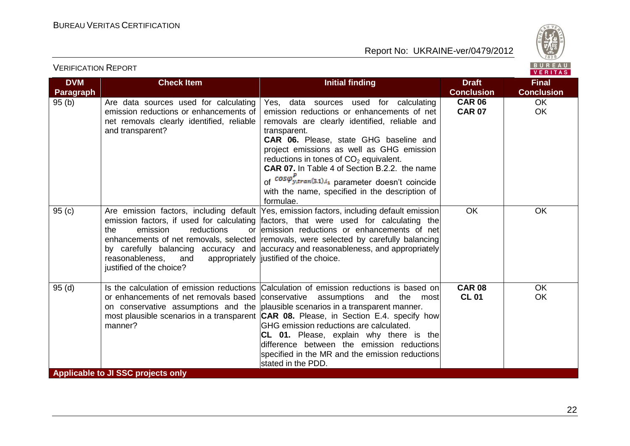



| <b>DVM</b> | <b>Check Item</b>                                                                                                                                | <b>Initial finding</b>                                                                                                                                                                                                                                                                                                                                                                                                                                                                            | <b>Draft</b>                   | <b>Final</b>      |
|------------|--------------------------------------------------------------------------------------------------------------------------------------------------|---------------------------------------------------------------------------------------------------------------------------------------------------------------------------------------------------------------------------------------------------------------------------------------------------------------------------------------------------------------------------------------------------------------------------------------------------------------------------------------------------|--------------------------------|-------------------|
| Paragraph  |                                                                                                                                                  |                                                                                                                                                                                                                                                                                                                                                                                                                                                                                                   | <b>Conclusion</b>              | <b>Conclusion</b> |
| 95(b)      | Are data sources used for calculating<br>emission reductions or enhancements of<br>net removals clearly identified, reliable<br>and transparent? | Yes, data sources used for calculating<br>emission reductions or enhancements of net<br>removals are clearly identified, reliable and<br>transparent.<br><b>CAR 06.</b> Please, state GHG baseline and<br>project emissions as well as GHG emission<br>reductions in tones of $CO2$ equivalent.<br>CAR 07. In Table 4 of Section B.2.2. the name<br>of $cos\varphi_{y,tran(3.1),i_1}^P$ parameter doesn't coincide<br>with the name, specified in the description of<br>formulae.                 | <b>CAR 06</b><br><b>CAR 07</b> | OK.<br><b>OK</b>  |
| 95(c)      | the<br>emission<br>reductions<br>or<br>reasonableness,<br>and<br>justified of the choice?                                                        | Are emission factors, including default Yes, emission factors, including default emission<br>emission factors, if used for calculating factors, that were used for calculating the<br>emission reductions or enhancements of net<br>enhancements of net removals, selected removals, were selected by carefully balancing<br>by carefully balancing accuracy and accuracy and reasonableness, and appropriately<br>appropriately  justified of the choice.                                        | <b>OK</b>                      | <b>OK</b>         |
| 95(d)      | or enhancements of net removals based conservative assumptions and the<br>manner?                                                                | Is the calculation of emission reductions Calculation of emission reductions is based on<br>most<br>on conservative assumptions and the plausible scenarios in a transparent manner.<br>most plausible scenarios in a transparent <b>CAR 08.</b> Please, in Section E.4. specify how<br>GHG emission reductions are calculated.<br>CL 01. Please, explain why there is the<br>difference between the emission reductions<br>specified in the MR and the emission reductions<br>stated in the PDD. | <b>CAR 08</b><br><b>CL 01</b>  | <b>OK</b><br>OK   |
|            | Applicable to JI SSC projects only                                                                                                               |                                                                                                                                                                                                                                                                                                                                                                                                                                                                                                   |                                |                   |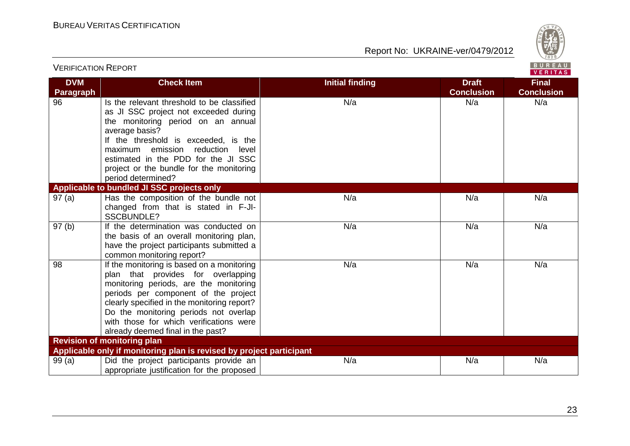

| <b>VERIFICATION REPORT</b> |                                                                                                                                                                                                                                                                                                                                            |                        |                                   | BUREAU<br>VERITAS                 |
|----------------------------|--------------------------------------------------------------------------------------------------------------------------------------------------------------------------------------------------------------------------------------------------------------------------------------------------------------------------------------------|------------------------|-----------------------------------|-----------------------------------|
| <b>DVM</b><br>Paragraph    | <b>Check Item</b>                                                                                                                                                                                                                                                                                                                          | <b>Initial finding</b> | <b>Draft</b><br><b>Conclusion</b> | <b>Final</b><br><b>Conclusion</b> |
| 96                         | Is the relevant threshold to be classified<br>as JI SSC project not exceeded during<br>the monitoring period on an annual<br>average basis?<br>If the threshold is exceeded, is the<br>maximum emission reduction<br>level<br>estimated in the PDD for the JI SSC<br>project or the bundle for the monitoring<br>period determined?        | N/a                    | N/a                               | N/a                               |
|                            | Applicable to bundled JI SSC projects only                                                                                                                                                                                                                                                                                                 |                        |                                   |                                   |
| 97(a)                      | Has the composition of the bundle not<br>changed from that is stated in F-JI-<br><b>SSCBUNDLE?</b>                                                                                                                                                                                                                                         | N/a                    | N/a                               | N/a                               |
| 97(b)                      | If the determination was conducted on<br>the basis of an overall monitoring plan,<br>have the project participants submitted a<br>common monitoring report?                                                                                                                                                                                | N/a                    | N/a                               | N/a                               |
| $\overline{98}$            | If the monitoring is based on a monitoring<br>plan that provides for overlapping<br>monitoring periods, are the monitoring<br>periods per component of the project<br>clearly specified in the monitoring report?<br>Do the monitoring periods not overlap<br>with those for which verifications were<br>already deemed final in the past? | N/a                    | N/a                               | N/a                               |
|                            | <b>Revision of monitoring plan</b>                                                                                                                                                                                                                                                                                                         |                        |                                   |                                   |
|                            | Applicable only if monitoring plan is revised by project participant                                                                                                                                                                                                                                                                       |                        |                                   |                                   |
| 99(a)                      | Did the project participants provide an<br>appropriate justification for the proposed                                                                                                                                                                                                                                                      | N/a                    | N/a                               | N/a                               |

23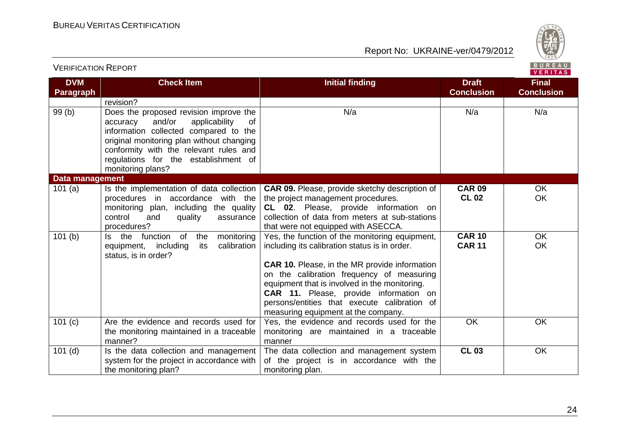

VERITAS

#### **DVM Paragraph Check Item Initial finding Draft Draft Conclusion Final Conclusion** revision? 99 (b) Does the proposed revision improve the accuracy and/or applicability of information collected compared to the original monitoring plan without changing conformity with the relevant rules and regulations for the establishment of monitoring plans? N/a N/a N/a **Data management** 101 (a)  $\vert$  Is the implementation of data collection procedures in accordance with the monitoring plan, including the quality control and quality assurance procedures? **CAR 09.** Please, provide sketchy description of the project management procedures. **CL 02**. Please, provide information on collection of data from meters at sub-stations that were not equipped with ASECCA. **CAR 09 CL 02** OK OK 101 (b) Is the function of the monitoring equipment, including its calibration status, is in order? Yes, the function of the monitoring equipment, including its calibration status is in order. **CAR 10.** Please, in the MR provide information on the calibration frequency of measuring equipment that is involved in the monitoring. **CAR 11.** Please, provide information on persons/entities that execute calibration of measuring equipment at the company. **CAR 10 CAR 11 OK** OK 101 (c) | Are the evidence and records used for the monitoring maintained in a traceable manner? Yes, the evidence and records used for the monitoring are maintained in a traceable manner OK OK 101 $(d)$  Is the data collection and management system for the project in accordance with the monitoring plan? The data collection and management system of the project is in accordance with the monitoring plan. **CL 03** OK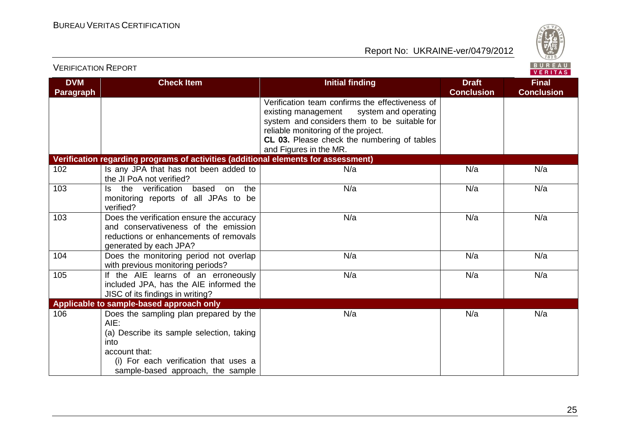

| <b>DVM</b>       | <b>Check Item</b>                                                                                                                                                                                  | <b>Initial finding</b>                                                                                                                                                                                                                                         | <b>Draft</b>      | <b>Final</b>      |
|------------------|----------------------------------------------------------------------------------------------------------------------------------------------------------------------------------------------------|----------------------------------------------------------------------------------------------------------------------------------------------------------------------------------------------------------------------------------------------------------------|-------------------|-------------------|
| <b>Paragraph</b> |                                                                                                                                                                                                    |                                                                                                                                                                                                                                                                | <b>Conclusion</b> | <b>Conclusion</b> |
|                  |                                                                                                                                                                                                    | Verification team confirms the effectiveness of<br>system and operating<br>existing management<br>system and considers them to be suitable for<br>reliable monitoring of the project.<br>CL 03. Please check the numbering of tables<br>and Figures in the MR. |                   |                   |
|                  | Verification regarding programs of activities (additional elements for assessment)                                                                                                                 |                                                                                                                                                                                                                                                                |                   |                   |
| 102              | Is any JPA that has not been added to<br>the JI PoA not verified?                                                                                                                                  | N/a                                                                                                                                                                                                                                                            | N/a               | N/a               |
| 103              | the verification<br>based on<br>the<br>ls.<br>monitoring reports of all JPAs to be<br>verified?                                                                                                    | N/a                                                                                                                                                                                                                                                            | N/a               | N/a               |
| 103              | Does the verification ensure the accuracy<br>and conservativeness of the emission<br>reductions or enhancements of removals<br>generated by each JPA?                                              | N/a                                                                                                                                                                                                                                                            | N/a               | N/a               |
| 104              | Does the monitoring period not overlap<br>with previous monitoring periods?                                                                                                                        | N/a                                                                                                                                                                                                                                                            | N/a               | N/a               |
| 105              | If the AIE learns of an erroneously<br>included JPA, has the AIE informed the<br>JISC of its findings in writing?                                                                                  | N/a                                                                                                                                                                                                                                                            | N/a               | N/a               |
|                  | Applicable to sample-based approach only                                                                                                                                                           |                                                                                                                                                                                                                                                                |                   |                   |
| 106              | Does the sampling plan prepared by the<br>AIE:<br>(a) Describe its sample selection, taking<br>into<br>account that:<br>(i) For each verification that uses a<br>sample-based approach, the sample | N/a                                                                                                                                                                                                                                                            | N/a               | N/a               |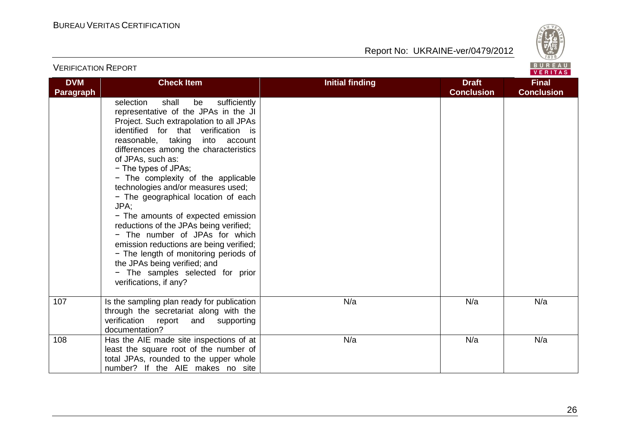

| <b>VERIFICATION REPORT</b>     |                                                                                                                                                                                                                                                                                                                                                                                                                                                                                                                                                                                                                                                                                                                               |                        |                                   | BUREAU<br>VERITAS                 |
|--------------------------------|-------------------------------------------------------------------------------------------------------------------------------------------------------------------------------------------------------------------------------------------------------------------------------------------------------------------------------------------------------------------------------------------------------------------------------------------------------------------------------------------------------------------------------------------------------------------------------------------------------------------------------------------------------------------------------------------------------------------------------|------------------------|-----------------------------------|-----------------------------------|
| <b>DVM</b><br><b>Paragraph</b> | <b>Check Item</b>                                                                                                                                                                                                                                                                                                                                                                                                                                                                                                                                                                                                                                                                                                             | <b>Initial finding</b> | <b>Draft</b><br><b>Conclusion</b> | <b>Final</b><br><b>Conclusion</b> |
|                                | sufficiently<br>selection<br>shall<br>be<br>representative of the JPAs in the JI<br>Project. Such extrapolation to all JPAs<br>identified for that verification is<br>reasonable, taking<br>into account<br>differences among the characteristics<br>of JPAs, such as:<br>- The types of JPAs;<br>- The complexity of the applicable<br>technologies and/or measures used;<br>- The geographical location of each<br>JPA:<br>- The amounts of expected emission<br>reductions of the JPAs being verified;<br>- The number of JPAs for which<br>emission reductions are being verified;<br>- The length of monitoring periods of<br>the JPAs being verified; and<br>- The samples selected for prior<br>verifications, if any? |                        |                                   |                                   |
| 107                            | Is the sampling plan ready for publication<br>through the secretariat along with the<br>verification<br>report<br>and<br>supporting<br>documentation?                                                                                                                                                                                                                                                                                                                                                                                                                                                                                                                                                                         | N/a                    | N/a                               | N/a                               |
| 108                            | Has the AIE made site inspections of at<br>least the square root of the number of<br>total JPAs, rounded to the upper whole<br>number? If the AIE makes no site                                                                                                                                                                                                                                                                                                                                                                                                                                                                                                                                                               | N/a                    | N/a                               | N/a                               |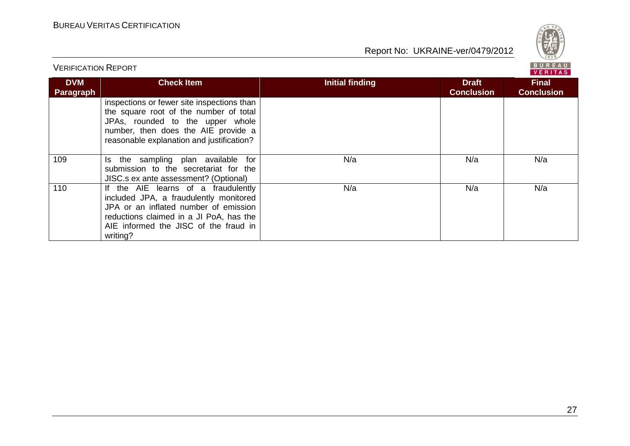

| <b>VERIFICATION REPORT</b>     |                                                                                                                                                                                                                        | BUREAU<br><b>VERITAS</b> |                                   |                                   |  |
|--------------------------------|------------------------------------------------------------------------------------------------------------------------------------------------------------------------------------------------------------------------|--------------------------|-----------------------------------|-----------------------------------|--|
| <b>DVM</b><br><b>Paragraph</b> | <b>Check Item</b>                                                                                                                                                                                                      | <b>Initial finding</b>   | <b>Draft</b><br><b>Conclusion</b> | <b>Final</b><br><b>Conclusion</b> |  |
|                                | inspections or fewer site inspections than<br>the square root of the number of total<br>JPAs, rounded to the upper whole<br>number, then does the AIE provide a<br>reasonable explanation and justification?           |                          |                                   |                                   |  |
| 109                            | the sampling plan available<br>for<br>Is.<br>submission to the secretariat for the<br>JISC.s ex ante assessment? (Optional)                                                                                            | N/a                      | N/a                               | N/a                               |  |
| 110                            | If the AIE learns of a fraudulently<br>included JPA, a fraudulently monitored<br>JPA or an inflated number of emission<br>reductions claimed in a JI PoA, has the<br>AIE informed the JISC of the fraud in<br>writing? | N/a                      | N/a                               | N/a                               |  |

**BUREAU**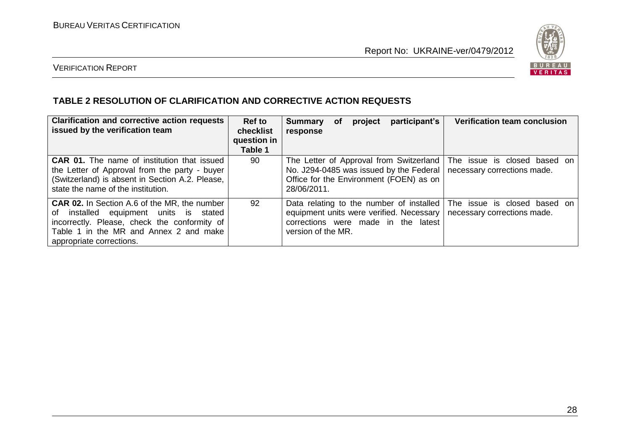

## VERIFICATION REPORT

#### **TABLE 2 RESOLUTION OF CLARIFICATION AND CORRECTIVE ACTION REQUESTS**

| <b>Clarification and corrective action requests</b><br>issued by the verification team                                                                                                                              | Ref to<br>checklist<br>question in<br>Table 1 | participant's<br>project<br><b>Verification team conclusion</b><br><b>Summary</b><br>оf<br>response                                                                                                              |  |
|---------------------------------------------------------------------------------------------------------------------------------------------------------------------------------------------------------------------|-----------------------------------------------|------------------------------------------------------------------------------------------------------------------------------------------------------------------------------------------------------------------|--|
| <b>CAR 01.</b> The name of institution that issued<br>the Letter of Approval from the party - buyer<br>(Switzerland) is absent in Section A.2. Please,<br>state the name of the institution.                        | 90                                            | The Letter of Approval from Switzerland<br>The issue is closed based on<br>No. J294-0485 was issued by the Federal<br>necessary corrections made.<br>Office for the Environment (FOEN) as on<br>28/06/2011.      |  |
| <b>CAR 02.</b> In Section A.6 of the MR, the number<br>of installed equipment units is stated<br>incorrectly. Please, check the conformity of<br>Table 1 in the MR and Annex 2 and make<br>appropriate corrections. | 92                                            | Data relating to the number of installed<br>The issue is closed based on<br>equipment units were verified. Necessary<br>necessary corrections made.<br>corrections were made in the latest<br>version of the MR. |  |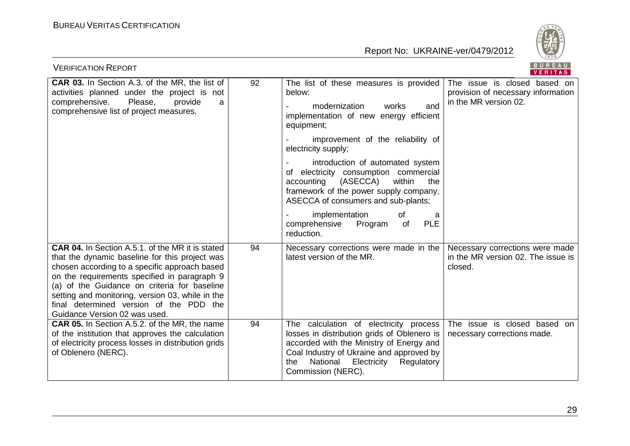

| <b>VERIFICATION REPORT</b>                                                                                                                                                                                                                                                                                                                                                                 | BUREAU<br><b>VERITAS</b> |                                                                                                                                                                                                                                                                                                                                                                                                                                                                                                           |                                                                                             |  |  |
|--------------------------------------------------------------------------------------------------------------------------------------------------------------------------------------------------------------------------------------------------------------------------------------------------------------------------------------------------------------------------------------------|--------------------------|-----------------------------------------------------------------------------------------------------------------------------------------------------------------------------------------------------------------------------------------------------------------------------------------------------------------------------------------------------------------------------------------------------------------------------------------------------------------------------------------------------------|---------------------------------------------------------------------------------------------|--|--|
| <b>CAR 03.</b> In Section A.3. of the MR, the list of<br>activities planned under the project is not<br>Please,<br>comprehensive.<br>provide<br>a<br>comprehensive list of project measures.                                                                                                                                                                                               | 92                       | The list of these measures is provided<br>below:<br>and<br>modernization<br>works<br>implementation of new energy efficient<br>equipment;<br>improvement of the reliability of<br>electricity supply;<br>introduction of automated system<br>of electricity consumption commercial<br>(ASECCA)<br>within<br>accounting<br>the<br>framework of the power supply company,<br>ASECCA of consumers and sub-plants;<br>implementation<br>of<br>a<br><b>PLE</b><br>Program<br>comprehensive<br>of<br>reduction. | The issue is closed based on<br>provision of necessary information<br>in the MR version 02. |  |  |
| <b>CAR 04.</b> In Section A.5.1. of the MR it is stated<br>that the dynamic baseline for this project was<br>chosen according to a specific approach based<br>on the requirements specified in paragraph 9<br>(a) of the Guidance on criteria for baseline<br>setting and monitoring, version 03, while in the<br>final determined version of the PDD the<br>Guidance Version 02 was used. | 94                       | Necessary corrections were made in the<br>latest version of the MR.                                                                                                                                                                                                                                                                                                                                                                                                                                       | Necessary corrections were made<br>in the MR version 02. The issue is<br>closed.            |  |  |
| CAR 05. In Section A.5.2. of the MR, the name<br>of the institution that approves the calculation<br>of electricity process losses in distribution grids<br>of Oblenero (NERC).                                                                                                                                                                                                            | 94                       | The calculation of electricity process<br>losses in distribution grids of Oblenero is<br>accorded with the Ministry of Energy and<br>Coal Industry of Ukraine and approved by<br>National<br>Electricity<br>Regulatory<br>the<br>Commission (NERC).                                                                                                                                                                                                                                                       | The issue is closed based on<br>necessary corrections made.                                 |  |  |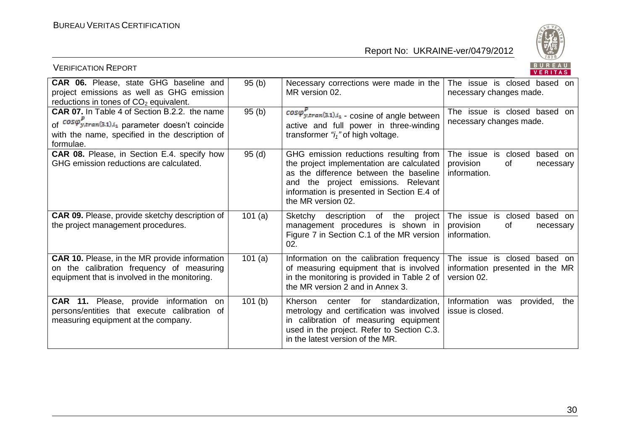

| <b>VERIFICATION REPORT</b>                                                                                                                                                            |        |                                                                                                                                                                                                                                          | BUREAU<br>VERITAS                                                                  |
|---------------------------------------------------------------------------------------------------------------------------------------------------------------------------------------|--------|------------------------------------------------------------------------------------------------------------------------------------------------------------------------------------------------------------------------------------------|------------------------------------------------------------------------------------|
| CAR 06. Please, state GHG baseline and<br>project emissions as well as GHG emission<br>reductions in tones of CO <sub>2</sub> equivalent.                                             | 95(b)  | Necessary corrections were made in the<br>MR version 02.                                                                                                                                                                                 | The issue is closed based on<br>necessary changes made.                            |
| <b>CAR 07.</b> In Table 4 of Section B.2.2. the name<br>of $cos\varphi_{y,tran(3.1),i_1}^P$ parameter doesn't coincide<br>with the name, specified in the description of<br>formulae. | 95(b)  | $cos\varphi_{y,tran(3,1),i_1}^{r}$ - cosine of angle between<br>active and full power in three-winding<br>transformer " $i_1$ " of high voltage.                                                                                         | The issue is closed based<br>on<br>necessary changes made.                         |
| <b>CAR 08.</b> Please, in Section E.4. specify how<br>GHG emission reductions are calculated.                                                                                         | 95(d)  | GHG emission reductions resulting from<br>the project implementation are calculated<br>as the difference between the baseline<br>and the project emissions. Relevant<br>information is presented in Section E.4 of<br>the MR version 02. | is closed<br>The issue<br>based on<br>provision<br>0f<br>necessary<br>information. |
| <b>CAR 09.</b> Please, provide sketchy description of<br>the project management procedures.                                                                                           | 101(a) | Sketchy description of the project<br>management procedures is shown in<br>Figure 7 in Section C.1 of the MR version<br>02.                                                                                                              | The issue is closed<br>based on<br>provision<br>of<br>necessary<br>information.    |
| <b>CAR 10.</b> Please, in the MR provide information<br>on the calibration frequency of measuring<br>equipment that is involved in the monitoring.                                    | 101(a) | Information on the calibration frequency<br>of measuring equipment that is involved<br>in the monitoring is provided in Table 2 of<br>the MR version 2 and in Annex 3.                                                                   | The issue is closed based on<br>information presented in the MR<br>version 02.     |
| <b>CAR 11.</b> Please, provide information<br>on.<br>persons/entities that execute calibration of<br>measuring equipment at the company.                                              | 101(b) | Kherson<br>center for standardization,<br>metrology and certification was involved<br>in calibration of measuring equipment<br>used in the project. Refer to Section C.3.<br>in the latest version of the MR.                            | Information was<br>provided,<br>the<br>issue is closed.                            |